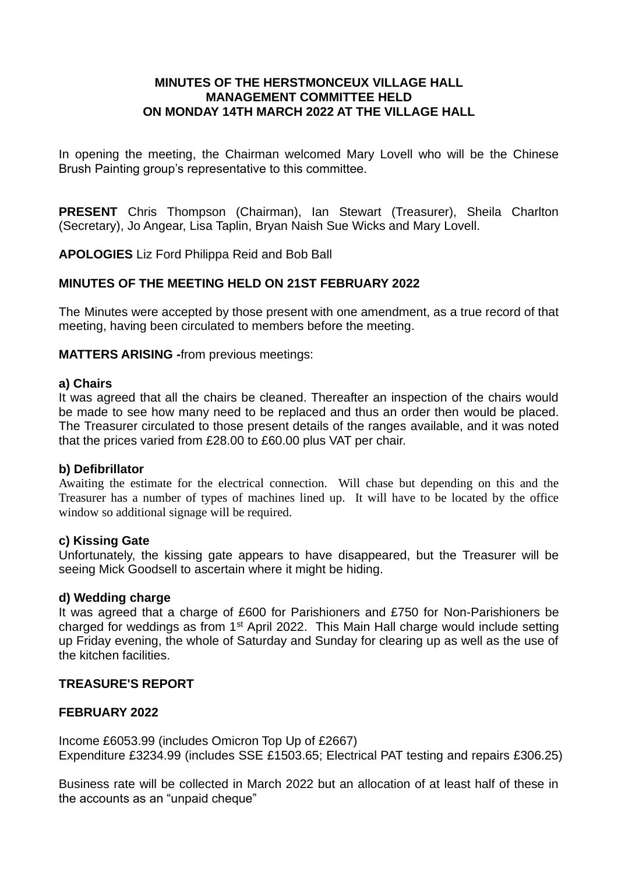## **MINUTES OF THE HERSTMONCEUX VILLAGE HALL MANAGEMENT COMMITTEE HELD ON MONDAY 14TH MARCH 2022 AT THE VILLAGE HALL**

In opening the meeting, the Chairman welcomed Mary Lovell who will be the Chinese Brush Painting group's representative to this committee.

**PRESENT** Chris Thompson (Chairman), Ian Stewart (Treasurer), Sheila Charlton (Secretary), Jo Angear, Lisa Taplin, Bryan Naish Sue Wicks and Mary Lovell.

**APOLOGIES** Liz Ford Philippa Reid and Bob Ball

## **MINUTES OF THE MEETING HELD ON 21ST FEBRUARY 2022**

The Minutes were accepted by those present with one amendment, as a true record of that meeting, having been circulated to members before the meeting.

**MATTERS ARISING -**from previous meetings:

#### **a) Chairs**

It was agreed that all the chairs be cleaned. Thereafter an inspection of the chairs would be made to see how many need to be replaced and thus an order then would be placed. The Treasurer circulated to those present details of the ranges available, and it was noted that the prices varied from £28.00 to £60.00 plus VAT per chair.

### **b) Defibrillator**

Awaiting the estimate for the electrical connection. Will chase but depending on this and the Treasurer has a number of types of machines lined up. It will have to be located by the office window so additional signage will be required.

### **c) Kissing Gate**

Unfortunately, the kissing gate appears to have disappeared, but the Treasurer will be seeing Mick Goodsell to ascertain where it might be hiding.

### **d) Wedding charge**

It was agreed that a charge of £600 for Parishioners and £750 for Non-Parishioners be charged for weddings as from 1st April 2022. This Main Hall charge would include setting up Friday evening, the whole of Saturday and Sunday for clearing up as well as the use of the kitchen facilities.

## **TREASURE'S REPORT**

## **FEBRUARY 2022**

Income £6053.99 (includes Omicron Top Up of £2667) Expenditure £3234.99 (includes SSE £1503.65; Electrical PAT testing and repairs £306.25)

Business rate will be collected in March 2022 but an allocation of at least half of these in the accounts as an "unpaid cheque"